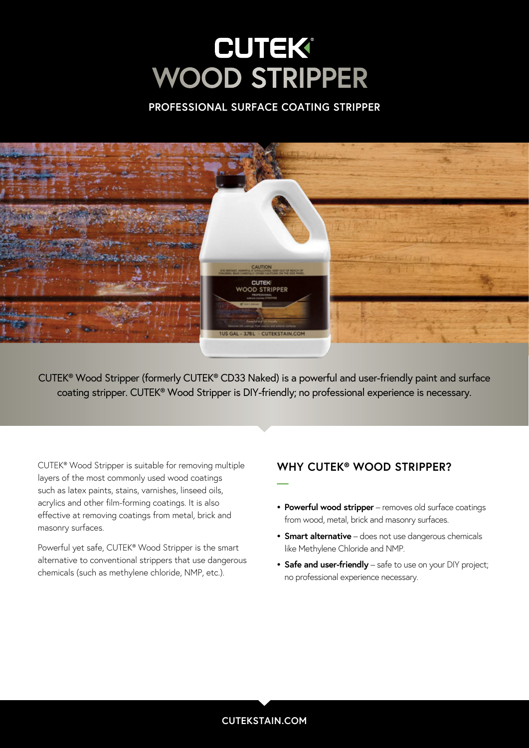# **CUTEK® WOOD STRIPPER**

### **PROFESSIONAL SURFACE COATING STRIPPER**



CUTEK® Wood Stripper (formerly CUTEK® CD33 Naked) is a powerful and user-friendly paint and surface coating stripper. CUTEK® Wood Stripper is DIY-friendly; no professional experience is necessary.

**—**

CUTEK® Wood Stripper is suitable for removing multiple layers of the most commonly used wood coatings such as latex paints, stains, varnishes, linseed oils, acrylics and other film-forming coatings. It is also effective at removing coatings from metal, brick and masonry surfaces.

Powerful yet safe, CUTEK® Wood Stripper is the smart alternative to conventional strippers that use dangerous chemicals (such as methylene chloride, NMP, etc.).

### **WHY CUTEK® WOOD STRIPPER?**

- **• Powerful wood stripper** removes old surface coatings from wood, metal, brick and masonry surfaces.
- **• Smart alternative** does not use dangerous chemicals like Methylene Chloride and NMP.
- **• Safe and user-friendly** safe to use on your DIY project; no professional experience necessary.

### **CUTEKSTAIN.COM**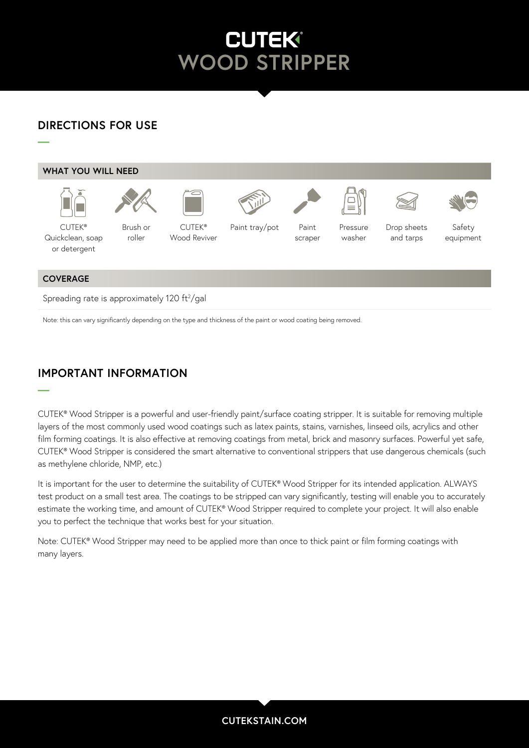#### Brush, roller or lambswool a  $L^{\bullet}$ Restore **WOOD STRIPPER**

Cuteks

Paint

Pressure

Paint

# **DIRECTIONS FOR USE**

Soap/

Brush, roller or

**—**

**—**



Spreading rate is approximately 120  $\mathrm{ft^2/gal}$ 

Note: this can vary significantly depending on the type and thickness of the paint or wood coating being removed.

# **IMPORTANT INFORMATION**

CUTEK® Wood Stripper is a powerful and user-friendly paint/surface coating stripper. It is suitable for removing multiple layers of the most commonly used wood coatings such as latex paints, stains, varnishes, linseed oils, acrylics and other film forming coatings. It is also effective at removing coatings from metal, brick and masonry surfaces. Powerful yet safe, CUTEK® Wood Stripper is considered the smart alternative to conventional strippers that use dangerous chemicals (such as methylene chloride, NMP, etc.)

It is important for the user to determine the suitability of CUTEK® Wood Stripper for its intended application. ALWAYS test product on a small test area. The coatings to be stripped can vary significantly, testing will enable you to accurately estimate the working time, and amount of CUTEK® Wood Stripper required to complete your project. It will also enable you to perfect the technique that works best for your situation.

Note: CUTEK® Wood Stripper may need to be applied more than once to thick paint or film forming coatings with many layers.

### **CUTEKSTAIN.COM**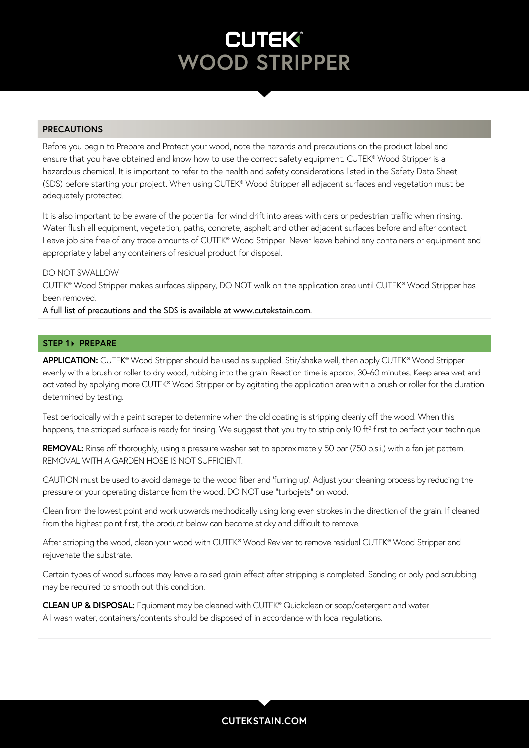# **CUTEK® WOOD STRIPPER**

### **PRECAUTIONS**

Before you begin to Prepare and Protect your wood, note the hazards and precautions on the product label and ensure that you have obtained and know how to use the correct safety equipment. CUTEK® Wood Stripper is a hazardous chemical. It is important to refer to the health and safety considerations listed in the Safety Data Sheet (SDS) before starting your project. When using CUTEK® Wood Stripper all adjacent surfaces and vegetation must be adequately protected.

It is also important to be aware of the potential for wind drift into areas with cars or pedestrian traffic when rinsing. Water flush all equipment, vegetation, paths, concrete, asphalt and other adjacent surfaces before and after contact. Leave job site free of any trace amounts of CUTEK® Wood Stripper. Never leave behind any containers or equipment and appropriately label any containers of residual product for disposal.

#### DO NOT SWALLOW

CUTEK® Wood Stripper makes surfaces slippery, DO NOT walk on the application area until CUTEK® Wood Stripper has been removed.

A full list of precautions and the SDS is available at www.cutekstain.com.

### **STEP 1> PREPARE**

**APPLICATION:** CUTEK® Wood Stripper should be used as supplied. Stir/shake well, then apply CUTEK® Wood Stripper evenly with a brush or roller to dry wood, rubbing into the grain. Reaction time is approx. 30-60 minutes. Keep area wet and activated by applying more CUTEK® Wood Stripper or by agitating the application area with a brush or roller for the duration determined by testing.

Test periodically with a paint scraper to determine when the old coating is stripping cleanly off the wood. When this happens, the stripped surface is ready for rinsing. We suggest that you try to strip only 10 ft<sup>2</sup> first to perfect your technique.

**REMOVAL:** Rinse off thoroughly, using a pressure washer set to approximately 50 bar (750 p.s.i.) with a fan jet pattern. REMOVAL WITH A GARDEN HOSE IS NOT SUFFICIENT.

CAUTION must be used to avoid damage to the wood fiber and 'furring up'. Adjust your cleaning process by reducing the pressure or your operating distance from the wood. DO NOT use "turbojets" on wood.

Clean from the lowest point and work upwards methodically using long even strokes in the direction of the grain. If cleaned from the highest point first, the product below can become sticky and difficult to remove.

After stripping the wood, clean your wood with CUTEK® Wood Reviver to remove residual CUTEK® Wood Stripper and rejuvenate the substrate.

Certain types of wood surfaces may leave a raised grain effect after stripping is completed. Sanding or poly pad scrubbing may be required to smooth out this condition.

**CLEAN UP & DISPOSAL:** Equipment may be cleaned with CUTEK® Quickclean or soap/detergent and water. All wash water, containers/contents should be disposed of in accordance with local regulations.

### **CUTEKSTAIN.COM**